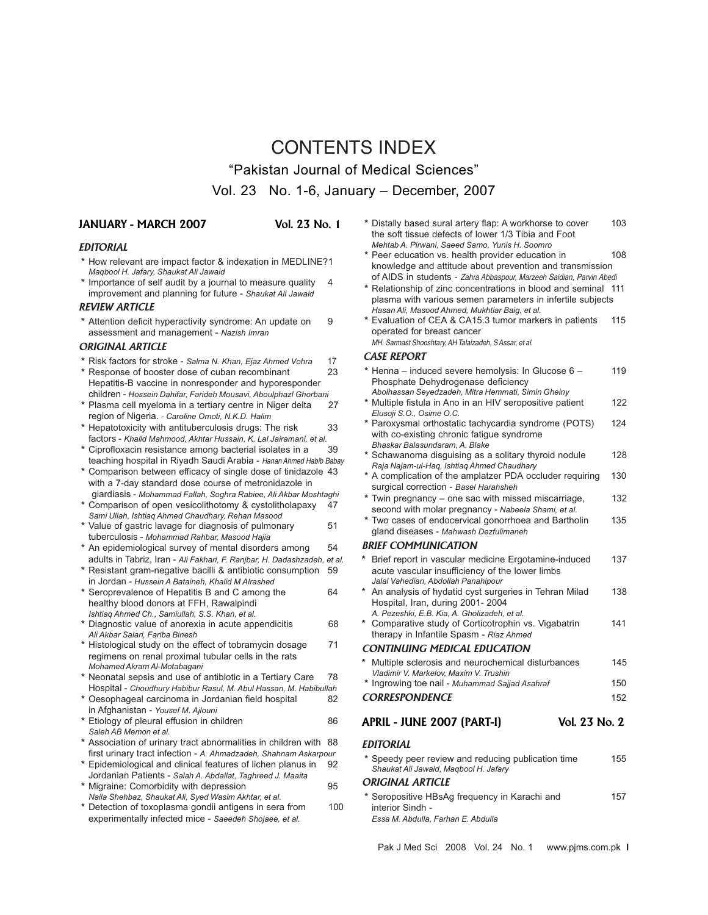# CONTENTS INDEX "Pakistan Journal of Medical Sciences" Vol. 23 No. 1-6, January – December, 2007

### **JANUARY - MARCH 2007 Vol. 23 No. 1**

#### *EDITORIAL*

- **\*** How relevant are impact factor & indexation in MEDLINE?1 *Maqbool H. Jafary, Shaukat Ali Jawaid*
- **\*** Importance of self audit by a journal to measure quality 4 improvement and planning for future - *Shaukat Ali Jawaid*

#### *REVIEW ARTICLE*

 **\*** Attention deficit hyperactivity syndrome: An update on 9 assessment and management - *Nazish Imran*

#### *ORIGINAL ARTICLE*

- **\*** Risk factors for stroke *Salma N. Khan, Ejaz Ahmed Vohra* 17
- Response of booster dose of cuban recombinant 23 Hepatitis-B vaccine in nonresponder and hyporesponder children - *Hossein Dahifar, Farideh Mousavi, Aboulphazl Ghorbani*
- Plasma cell myeloma in a tertiary centre in Niger delta region of Nigeria. *- Caroline Omoti, N.K.D. Halim*
- **\*** Hepatotoxicity with antituberculosis drugs: The risk 33 factors - *Khalid Mahmood, Akhtar Hussain, K. Lal Jairamani, et al.*
- Ciprofloxacin resistance among bacterial isolates in a teaching hospital in Riyadh Saudi Arabia - Hanan Ahmed Habib Babay
- **\*** Comparison between efficacy of single dose of tinidazole 43 with a 7-day standard dose course of metronidazole in
- giardiasis *Mohammad Fallah, Soghra Rabiee, Ali Akbar Moshtaghi*  **\*** Comparison of open vesicolithotomy & cystolitholapaxy 47 *Sami Ullah, Ishtiaq Ahmed Chaudhary, Rehan Masood*
- **\*** Value of gastric lavage for diagnosis of pulmonary 51 tuberculosis - *Mohammad Rahbar, Masood Hajia*
- **\*** An epidemiological survey of mental disorders among 54 adults in Tabriz, Iran - *Ali Fakhari, F. Ranjbar, H. Dadashzadeh, et al.*
- **\*** Resistant gram-negative bacilli & antibiotic consumption 59 in Jordan - *Hussein A Bataineh, Khalid M Alrashed*
- Seroprevalence of Hepatitis B and C among the 64 healthy blood donors at FFH, Rawalpindi *Ishtiaq Ahmed Ch., Samiullah, S.S. Khan, et al.*
- Diagnostic value of anorexia in acute appendicitis 68 *Ali Akbar Salari, Fariba Binesh*
- **\*** Histological study on the effect of tobramycin dosage 71 regimens on renal proximal tubular cells in the rats *Mohamed Akram Al-Motabagani*
- Neonatal sepsis and use of antibiotic in a Tertiary Care 78 Hospital - *Choudhury Habibur Rasul, M. Abul Hassan, M. Habibullah*
- **\*** Oesophageal carcinoma in Jordanian field hospital 82 in Afghanistan - *Yousef M. Ajlouni*
- **Etiology of pleural effusion in children** 86 *Saleh AB Memon et al.*
- **\*** Association of urinary tract abnormalities in children with 88 first urinary tract infection - *A. Ahmadzadeh, Shahnam Askarpour*
- **\*** Epidemiological and clinical features of lichen planus in 92 Jordanian Patients - *Salah A. Abdallat, Taghreed J. Maaita*
- **Migraine: Comorbidity with depression 95** *Naila Shehbaz, Shaukat Ali, Syed Wasim Akhtar, et al.*
- Detection of toxoplasma gondii antigens in sera from 100 experimentally infected mice - *Saeedeh Shojaee, et al.*

| * Distally based sural artery flap: A workhorse to cover | 103 |
|----------------------------------------------------------|-----|
| the soft tissue defects of lower 1/3 Tibia and Foot      |     |
| Mehtab A. Pirwani, Saeed Samo, Yunis H. Soomro           |     |

- **\*** Peer education vs. health provider education in 108 knowledge and attitude about prevention and transmission of AIDS in students - Zahra Abbaspour, Marzeeh Saidian, Parvin Abedi
- **\*** Relationship of zinc concentrations in blood and seminal 111 plasma with various semen parameters in infertile subjects *Hasan Ali, Masood Ahmed, Mukhtiar Baig, et al.*
- **\*** Evaluation of CEA & CA15.3 tumor markers in patients 115 operated for breast cancer
	- MH. Sarmast Shooshtary, AH Talaizadeh, S Assar, et al.

#### *CASE REPORT*

- **\*** Henna induced severe hemolysis: In Glucose 6 119 Phosphate Dehydrogenase deficiency *Abolhassan Seyedzadeh, Mitra Hemmati, Simin Gheiny* **Multiple fistula in Ano in an HIV seropositive patient 122** *Elusoji S.O., Osime O.C.*  **\*** Paroxysmal orthostatic tachycardia syndrome (POTS) 124 with co-existing chronic fatigue syndrome *Bhaskar Balasundaram, A. Blake*  **\*** Schawanoma disguising as a solitary thyroid nodule 128 *Raja Najam-ul-Haq, Ishtiaq Ahmed Chaudhary* A complication of the amplatzer PDA occluder requiring 130 surgical correction - *Basel Harahsheh*  **\*** Twin pregnancy – one sac with missed miscarriage, 132 second with molar pregnancy - *Nabeela Shami, et al.* Two cases of endocervical gonorrhoea and Bartholin 135 gland diseases - *Mahwash Dezfulimaneh BRIEF COMMUNICATION* Brief report in vascular medicine Ergotamine-induced 137 acute vascular insufficiency of the lower limbs *Jalal Vahedian, Abdollah Panahipour* **\*** An analysis of hydatid cyst surgeries in Tehran Milad 138 Hospital, Iran, during 2001- 2004 *A. Pezeshki, E.B. Kia, A. Gholizadeh, et al.* **\*** Comparative study of Corticotrophin vs. Vigabatrin 141 therapy in Infantile Spasm - *Riaz Ahmed CONTINUING MEDICAL EDUCATION* **\*** Multiple sclerosis and neurochemical disturbances 145 *Vladimir V. Markelov, Maxim V. Trushin*  **\*** Ingrowing toe nail - *Muhammad Sajjad Asahraf* 150 **CORRESPONDENCE** 152 **APRIL - JUNE 2007 (PART-I) Vol. 23 No. 2** *EDITORIAL*  **\*** Speedy peer review and reducing publication time 155 *Shaukat Ali Jawaid, Maqbool H. Jafary ORIGINAL ARTICLE*  **\*** Seropositive HBsAg frequency in Karachi and 157
	- interior Sindh *Essa M. Abdulla, Farhan E. Abdulla*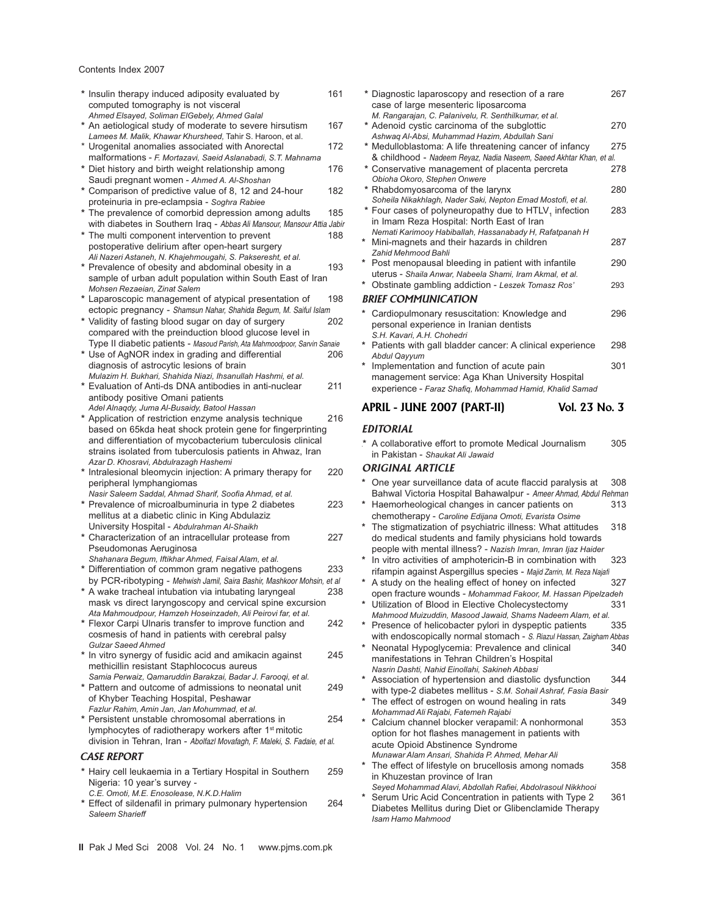#### Contents Index 2007

| * Insulin therapy induced adiposity evaluated by<br>computed tomography is not visceral             | 161 |   | * Diag<br>case               |
|-----------------------------------------------------------------------------------------------------|-----|---|------------------------------|
| Ahmed Elsayed, Soliman ElGebely, Ahmed Galal                                                        |     |   | M. Ra                        |
| * An aetiological study of moderate to severe hirsutism                                             | 167 |   | * Ader                       |
| Lamees M. Malik, Khawar Khursheed, Tahir S. Haroon, et al.                                          |     |   | Ashw                         |
| * Urogenital anomalies associated with Anorectal                                                    | 172 |   | * Med                        |
| malformations - F. Mortazavi, Saeid Aslanabadi, S.T. Mahnama                                        |     |   | & chi                        |
| * Diet history and birth weight relationship among                                                  | 176 |   | * Cons                       |
| Saudi pregnant women - Ahmed A. Al-Shoshan                                                          |     |   | Obioł                        |
| * Comparison of predictive value of 8, 12 and 24-hour                                               | 182 |   | * Rhał                       |
| proteinuria in pre-eclampsia - Soghra Rabiee                                                        |     |   | Sohe                         |
| * The prevalence of comorbid depression among adults                                                | 185 |   | * Four                       |
| with diabetes in Southern Iraq - Abbas Ali Mansour, Mansour Attia Jabir                             |     |   | in Im                        |
| * The multi component intervention to prevent                                                       | 188 |   | Nema                         |
| postoperative delirium after open-heart surgery                                                     |     |   | Mini-                        |
| Ali Nazeri Astaneh, N. Khajehmougahi, S. Pakseresht, et al.                                         |     |   | Zahid                        |
| * Prevalence of obesity and abdominal obesity in a                                                  | 193 |   | Post                         |
| sample of urban adult population within South East of Iran                                          |     |   | uteru                        |
| Mohsen Rezaeian, Zinat Salem                                                                        |     |   | Obst                         |
| * Laparoscopic management of atypical presentation of                                               | 198 |   | <b>BRIEF</b>                 |
| ectopic pregnancy - Shamsun Nahar, Shahida Begum, M. Saiful Islam                                   |     | * | Card                         |
| * Validity of fasting blood sugar on day of surgery                                                 | 202 |   | perso                        |
| compared with the preinduction blood glucose level in                                               |     |   | S.H. I                       |
| Type II diabetic patients - Masoud Parish, Ata Mahmoodpoor, Sarvin Sanaie                           |     |   | Patie                        |
| * Use of AgNOR index in grading and differential                                                    | 206 |   | Abdu                         |
| diagnosis of astrocytic lesions of brain                                                            |     |   | Imple                        |
| Mulazim H. Bukhari, Shahida Niazi, Ihsanullah Hashmi, et al.                                        |     |   | mana                         |
| * Evaluation of Anti-ds DNA antibodies in anti-nuclear                                              | 211 |   | expe                         |
| antibody positive Omani patients                                                                    |     |   |                              |
| Adel Alnaqdy, Juma Al-Busaidy, Batool Hassan                                                        |     |   | <b>APRIL</b>                 |
| * Application of restriction enzyme analysis technique                                              | 216 |   |                              |
| based on 65kda heat shock protein gene for fingerprinting                                           |     |   | <b>EDITO</b>                 |
| and differentiation of mycobacterium tuberculosis clinical                                          |     |   | * A col                      |
| strains isolated from tuberculosis patients in Ahwaz, Iran                                          |     |   | in Pa                        |
| Azar D. Khosravi, Abdulrazagh Hashemi                                                               |     |   | <b>ORIGI</b>                 |
| * Intralesional bleomycin injection: A primary therapy for                                          | 220 |   |                              |
| peripheral lymphangiomas                                                                            |     |   | One                          |
| Nasir Saleem Saddal, Ahmad Sharif, Soofia Ahmad, et al.                                             | 223 |   | Bahv                         |
| * Prevalence of microalbuminuria in type 2 diabetes                                                 |     |   | Haer                         |
| mellitus at a diabetic clinic in King Abdulaziz                                                     |     |   | chem                         |
| University Hospital - Abdulrahman Al-Shaikh<br>* Characterization of an intracellular protease from | 227 |   | The :                        |
|                                                                                                     |     |   | do m                         |
| Pseudomonas Aeruginosa<br>Shahanara Begum, Iftikhar Ahmed, Faisal Alam, et al.                      |     |   | peop                         |
| * Differentiation of common gram negative pathogens                                                 | 233 |   | In vit                       |
| by PCR-ribotyping - Mehwish Jamil, Saira Bashir, Mashkoor Mohsin, et al                             |     |   | rifam<br>A stu               |
| * A wake tracheal intubation via intubating laryngeal                                               | 238 |   |                              |
| mask vs direct laryngoscopy and cervical spine excursion                                            |     |   | open                         |
| Ata Mahmoudpour, Hamzeh Hoseinzadeh, Ali Peirovi far, et al.                                        |     |   | Utiliz<br>Mahn               |
| * Flexor Carpi Ulnaris transfer to improve function and                                             | 242 |   | Pres                         |
| cosmesis of hand in patients with cerebral palsy                                                    |     |   | with                         |
| <b>Gulzar Saeed Ahmed</b>                                                                           |     |   | Neor                         |
| * In vitro synergy of fusidic acid and amikacin against                                             | 245 |   | mani                         |
| methicillin resistant Staphlococus aureus                                                           |     |   | Nasri                        |
| Samia Perwaiz, Qamaruddin Barakzai, Badar J. Farooqi, et al.                                        |     |   | Asso                         |
| * Pattern and outcome of admissions to neonatal unit                                                | 249 |   | with 1                       |
| of Khyber Teaching Hospital, Peshawar                                                               |     |   | The                          |
| Fazlur Rahim, Amin Jan, Jan Mohummad, et al.                                                        |     |   | Moha                         |
| * Persistent unstable chromosomal aberrations in                                                    | 254 |   | Calci                        |
| lymphocytes of radiotherapy workers after 1 <sup>st</sup> mitotic                                   |     |   | optio                        |
| division in Tehran, Iran - Abolfazl Movafagh, F. Maleki, S. Fadaie, et al.                          |     |   | acute                        |
| <b>CASE REPORT</b>                                                                                  |     |   | Muna                         |
|                                                                                                     |     |   | The                          |
| * Hairy cell leukaemia in a Tertiary Hospital in Southern                                           | 259 |   | in Kr                        |
| Nigeria: 10 year's survey -                                                                         |     |   | Seyer                        |
|                                                                                                     |     |   |                              |
| C.E. Omoti, M.E. Enosolease, N.K.D.Halim                                                            |     |   | Seru                         |
| * Effect of sildenafil in primary pulmonary hypertension<br>Saleem Sharieff                         | 264 |   | <b>Diab</b><br>$l_{\rm nom}$ |

| * Diagnostic laparoscopy and resection of a rare<br>case of large mesenteric liposarcoma | 267 |
|------------------------------------------------------------------------------------------|-----|
| M. Rangarajan, C. Palanivelu, R. Senthilkumar, et al.                                    |     |
| * Adenoid cystic carcinoma of the subglottic                                             | 270 |
| Ashwag Al-Absi, Muhammad Hazim, Abdullah Sani                                            |     |
| * Medulloblastoma: A life threatening cancer of infancy                                  | 275 |
| & childhood - Nadeem Reyaz, Nadia Naseem, Saeed Akhtar Khan, et al.                      |     |
| * Conservative management of placenta percreta<br>Obioha Okoro, Stephen Onwere           | 278 |
| * Rhabdomyosarcoma of the larynx                                                         | 280 |
| Soheila Nikakhlagh, Nader Saki, Nepton Emad Mostofi, et al.                              |     |
| * Four cases of polyneuropathy due to HTLV, infection                                    | 283 |
| in Imam Reza Hospital: North East of Iran                                                |     |
| Nemati Karimooy Habiballah, Hassanabady H, Rafatpanah H                                  |     |
| * Mini-magnets and their hazards in children                                             | 287 |
| Zahid Mehmood Bahli                                                                      |     |
| * Post menopausal bleeding in patient with infantile                                     | 290 |
| uterus - Shaila Anwar, Nabeela Shami, Iram Akmal, et al.                                 |     |
| * Obstinate gambling addiction - Leszek Tomasz Ros'                                      | 293 |
| <b>BRIEF COMMUNICATION</b>                                                               |     |
| Cardiopulmonary resuscitation: Knowledge and                                             | 296 |
| personal experience in Iranian dentists                                                  |     |
| S.H. Kavari, A.H. Chohedri<br>* Patients with gall bladder cancer: A clinical experience | 298 |
| Abdul Qayyum                                                                             |     |
| * Implementation and function of acute pain                                              | 301 |
| management service: Aga Khan University Hospital                                         |     |
| experience - Faraz Shafiq, Mohammad Hamid, Khalid Samad                                  |     |
| APRIL - JUNE 2007 (PART-II)<br>Vol. 23 No. 3                                             |     |
|                                                                                          |     |
| <b>EDITORIAL</b>                                                                         |     |

llaborative effort to promote Medical Journalism 305 akistan - *Shaukat Ali Jawaid* 

#### *NAL ARTICLE*

- year surveillance data of acute flaccid paralysis at 308 wal Victoria Hospital Bahawalpur - *Ameer Ahmad, Abdul Rehman*<br>morheological changes in cancer patients on 333
- $m$ orheological changes in cancer patients on chemotherapy - *Caroline Edijana Omoti, Evarista Osime*
- stigmatization of psychiatric illness: What attitudes 318 edical students and family physicians hold towards people with mental illness? - *Nazish Imran, Imran Ijaz Haider*
- **\*** In vitro activities of amphotericin-B in combination with 323 ipin against Aspergillus species - Majid Zarrin, M. Reza Najafi
- ady on the healing effect of honey on infected 327
- fracture wounds Mohammad Fakoor, M. Hassan Pipelzadeh **Exation of Blood in Elective Cholecystectomy 331**
- *Mahmood Muizuddin, Masood Jawaid, Shams Nadeem Alam, et al.* ence of helicobacter pylori in dyspeptic patients
- endoscopically normal stomach S. Riazul Hassan, Zaigham Abbas<br>natal Hypoglycemia: Prevalence and clinical 340 hatal Hypoglycemia: Prevalence and clinical ifestations in Tehran Children's Hospital *Nasrin Dashti, Nahid Einollahi, Sakineh Abbasi*
- **\*** Association of hypertension and diastolic dysfunction 344 type-2 diabetes mellitus - S.M. Sohail Ashraf, Fasia Basir
- effect of estrogen on wound healing in rats 349 *Mohammad Ali Rajabi, Fatemeh Rajabi*
- ium channel blocker verapamil: A nonhormonal 353 on for hot flashes management in patients with e Opioid Abstinence Syndrome *Munawar Alam Ansari, Shahida P. Ahmed, Mehar Ali*
- effect of lifestyle on brucellosis among nomads 358 nuzestan province of Iran
- *Seyed Mohammad Alavi, Abdollah Rafiei, Abdolrasoul Nikkhooi* **<sup>m</sup>** Uric Acid Concentration in patients with Type 2 361
- etes Mellitus during Diet or Glibenclamide Therapy *Isam Hamo Mahmood*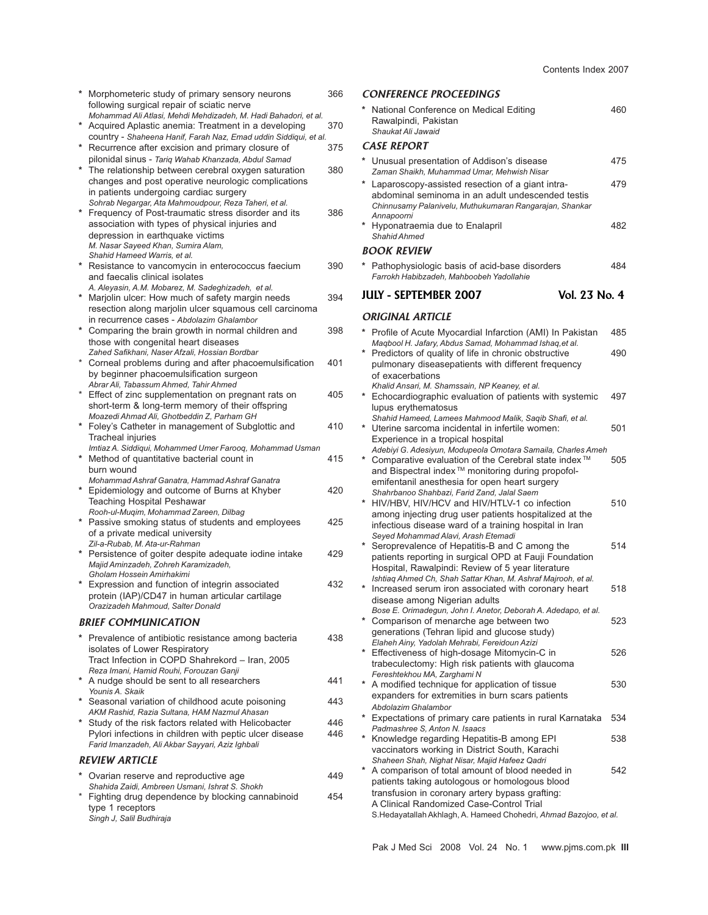|   | Morphometeric study of primary sensory neurons                                                                                                                                                                | 366 |   | <b>CONF</b>                            |
|---|---------------------------------------------------------------------------------------------------------------------------------------------------------------------------------------------------------------|-----|---|----------------------------------------|
|   | following surgical repair of sciatic nerve<br>Mohammad Ali Atlasi, Mehdi Mehdizadeh, M. Hadi Bahadori, et al.<br>Acquired Aplastic anemia: Treatment in a developing                                          | 370 |   | Natic<br>Rawa                          |
|   | country - Shaheena Hanif, Farah Naz, Emad uddin Siddiqui, et al.                                                                                                                                              |     |   | Shau                                   |
|   | Recurrence after excision and primary closure of<br>pilonidal sinus - Tariq Wahab Khanzada, Abdul Samad                                                                                                       | 375 |   | CASE I<br>Unus                         |
| * | The relationship between cerebral oxygen saturation<br>changes and post operative neurologic complications<br>in patients undergoing cardiac surgery<br>Sohrab Negargar, Ata Mahmoudpour, Reza Taheri, et al. | 380 |   | Zama<br>Lapa<br>abdo                   |
|   | Frequency of Post-traumatic stress disorder and its<br>association with types of physical injuries and<br>depression in earthquake victims<br>M. Nasar Sayeed Khan, Sumira Alam,                              | 386 | * | Chinr<br>Anna<br>Hypc<br>Shah          |
|   | Shahid Hameed Warris, et al.                                                                                                                                                                                  |     |   | BOOK                                   |
|   | Resistance to vancomycin in enterococcus faecium<br>and faecalis clinical isolates                                                                                                                            | 390 |   | * Path<br>Farro                        |
|   | A. Aleyasin, A.M. Mobarez, M. Sadeghizadeh, et al.<br>Marjolin ulcer: How much of safety margin needs                                                                                                         | 394 |   | JULY -                                 |
|   | resection along marjolin ulcer squamous cell carcinoma                                                                                                                                                        |     |   | ORIGI                                  |
|   | in recurrence cases - Abdolazim Ghalambor<br>Comparing the brain growth in normal children and                                                                                                                | 398 |   | Profi                                  |
|   | those with congenital heart diseases                                                                                                                                                                          |     |   | Maqb                                   |
|   | Zahed Safikhani, Naser Afzali, Hossian Bordbar                                                                                                                                                                | 401 |   | Pred                                   |
|   | Corneal problems during and after phacoemulsification<br>by beginner phacoemulsification surgeon                                                                                                              |     |   | pulm<br>of ex                          |
|   | Abrar Ali, Tabassum Ahmed, Tahir Ahmed                                                                                                                                                                        |     |   | Khalid                                 |
|   | Effect of zinc supplementation on pregnant rats on                                                                                                                                                            | 405 |   | * Echo                                 |
|   | short-term & long-term memory of their offspring<br>Moazedi Ahmad Ali, Ghotbeddin Z, Parham GH                                                                                                                |     |   | lupus<br>Shah                          |
| * | Foley's Catheter in management of Subglottic and<br>Tracheal injuries                                                                                                                                         | 410 |   | * Uteri<br>Expe                        |
|   | Imtiaz A. Siddiqui, Mohammed Umer Farooq, Mohammad Usman<br>Method of quantitative bacterial count in<br>burn wound                                                                                           | 415 | * | Adeb<br>Com<br>and I                   |
|   | Mohammad Ashraf Ganatra, Hammad Ashraf Ganatra<br>Epidemiology and outcome of Burns at Khyber<br>Teaching Hospital Peshawar                                                                                   | 420 |   | emife<br>Shah<br>HIV/I                 |
| * | Rooh-ul-Muqim, Mohammad Zareen, Dilbag<br>Passive smoking status of students and employees<br>of a private medical university                                                                                 | 425 |   | amor<br>infec                          |
| * | Zil-a-Rubab, M. Ata-ur-Rahman<br>Persistence of goiter despite adequate iodine intake                                                                                                                         | 429 |   | Seyer<br>Sero<br>patie                 |
|   | Majid Aminzadeh, Zohreh Karamizadeh,<br>Gholam Hossein Amirhakimi<br>Expression and function of integrin associated                                                                                           | 432 |   | Hosp<br>Ishtia<br>Incre                |
|   | protein (IAP)/CD47 in human articular cartilage<br>Orazizadeh Mahmoud, Salter Donald                                                                                                                          |     |   | disea<br>Bose                          |
|   | <b>BRIEF COMMUNICATION</b>                                                                                                                                                                                    |     |   | * Com                                  |
|   | Prevalence of antibiotic resistance among bacteria<br>isolates of Lower Respiratory                                                                                                                           | 438 |   | gene<br>Elahe<br>* Effec               |
|   | Tract Infection in COPD Shahrekord - Iran, 2005<br>Reza Imani, Hamid Rouhi, Forouzan Ganji                                                                                                                    |     |   | trabe<br>Feres                         |
|   | A nudge should be sent to all researchers<br>Younis A. Skaik                                                                                                                                                  | 441 |   | * A mo                                 |
|   | * Seasonal variation of childhood acute poisoning                                                                                                                                                             | 443 |   | expa<br>Abdo                           |
|   | AKM Rashid, Razia Sultana, HAM Nazmul Ahasan<br>Study of the risk factors related with Helicobacter                                                                                                           | 446 |   | * Expe                                 |
|   | Pylori infections in children with peptic ulcer disease<br>Farid Imanzadeh, Ali Akbar Sayyari, Aziz Ighbali                                                                                                   | 446 |   | Padm<br>* Knov<br>vacc                 |
|   | <b>REVIEW ARTICLE</b>                                                                                                                                                                                         |     |   | Shah                                   |
|   | Ovarian reserve and reproductive age                                                                                                                                                                          | 449 |   | A cor                                  |
|   | Shahida Zaidi, Ambreen Usmani, Ishrat S. Shokh<br>Fighting drug dependence by blocking cannabinoid<br>type 1 receptors                                                                                        | 454 |   | patie<br>trans<br>A Cli<br>$C$ $H_{0}$ |

*Singh J, Salil Budhiraja*

| <b>CONFERENCE PROCEEDINGS</b>                                                                                                                                                    |     |
|----------------------------------------------------------------------------------------------------------------------------------------------------------------------------------|-----|
| National Conference on Medical Editing<br>Rawalpindi, Pakistan<br>Shaukat Ali Jawaid                                                                                             | 460 |
| <b>CASE REPORT</b>                                                                                                                                                               |     |
| * Unusual presentation of Addison's disease<br>Zaman Shaikh, Muhammad Umar, Mehwish Nisar                                                                                        | 475 |
| * Laparoscopy-assisted resection of a giant intra-<br>abdominal seminoma in an adult undescended testis<br>Chinnusamy Palanivelu, Muthukumaran Rangarajan, Shankar<br>Annapoorni | 479 |
| * Hyponatraemia due to Enalapril<br><b>Shahid Ahmed</b>                                                                                                                          | 482 |
| <b>BOOK REVIEW</b>                                                                                                                                                               |     |
| * Pathophysiologic basis of acid-base disorders<br>Farrokh Habibzadeh, Mahboobeh Yadollahie                                                                                      | 484 |
| <b>JULY - SEPTEMBER 2007</b><br>Vol. 23 No. 4                                                                                                                                    |     |
| <b>ORIGINAL ARTICLE</b>                                                                                                                                                          |     |
| Profile of Acute Myocardial Infarction (AMI) In Pakistan                                                                                                                         | 485 |
| Magbool H. Jafary, Abdus Samad, Mohammad Ishaq, et al.                                                                                                                           |     |
| * Predictors of quality of life in chronic obstructive                                                                                                                           | 490 |
| pulmonary diseasepatients with different frequency<br>of exacerbations                                                                                                           |     |
| Khalid Ansari, M. Shamssain, NP Keaney, et al.                                                                                                                                   |     |
| * Echocardiographic evaluation of patients with systemic                                                                                                                         | 497 |
| lupus erythematosus<br>Shahid Hameed, Lamees Mahmood Malik, Saqib Shafi, et al.                                                                                                  |     |
| * Uterine sarcoma incidental in infertile women:                                                                                                                                 | 501 |
| Experience in a tropical hospital                                                                                                                                                |     |
| Adebiyi G. Adesiyun, Modupeola Omotara Samaila, Charles Ameh<br>* Comparative evaluation of the Cerebral state index™                                                            | 505 |
| and Bispectral index <sup>™</sup> monitoring during propofol-                                                                                                                    |     |
| emifentanil anesthesia for open heart surgery                                                                                                                                    |     |
| Shahrbanoo Shahbazi, Farid Zand, Jalal Saem<br>* HIV/HBV, HIV/HCV and HIV/HTLV-1 co infection                                                                                    | 510 |
| among injecting drug user patients hospitalized at the                                                                                                                           |     |
| infectious disease ward of a training hospital in Iran                                                                                                                           |     |
| Seyed Mohammad Alavi, Arash Etemadi                                                                                                                                              | 514 |
| * Seroprevalence of Hepatitis-B and C among the<br>patients reporting in surgical OPD at Fauji Foundation                                                                        |     |
| Hospital, Rawalpindi: Review of 5 year literature                                                                                                                                |     |
| Ishtiag Ahmed Ch, Shah Sattar Khan, M. Ashraf Majrooh, et al.                                                                                                                    |     |
| * Increased serum iron associated with coronary heart<br>disease among Nigerian adults                                                                                           | 518 |
| Bose E. Orimadegun, John I. Anetor, Deborah A. Adedapo, et al.                                                                                                                   |     |
| * Comparison of menarche age between two                                                                                                                                         | 523 |
| generations (Tehran lipid and glucose study)                                                                                                                                     |     |
| Elaheh Ainy, Yadolah Mehrabi, Fereidoun Azizi<br>* Effectiveness of high-dosage Mitomycin-C in                                                                                   | 526 |
| trabeculectomy: High risk patients with glaucoma                                                                                                                                 |     |
| Fereshtekhou MA, Zarghami N                                                                                                                                                      |     |
| A modified technique for application of tissue<br>expanders for extremities in burn scars patients                                                                               | 530 |
| Abdolazim Ghalambor                                                                                                                                                              |     |
| * Expectations of primary care patients in rural Karnataka                                                                                                                       | 534 |
| Padmashree S. Anton N. Isaacs<br>* Knowledge regarding Hepatitis-B among EPI                                                                                                     | 538 |
| vaccinators working in District South, Karachi                                                                                                                                   |     |
| Shaheen Shah, Nighat Nisar, Majid Hafeez Qadri                                                                                                                                   |     |
| A comparison of total amount of blood needed in                                                                                                                                  | 542 |
| patients taking autologous or homologous blood<br>transfusion in coronary artery bypass grafting:                                                                                |     |
| A Clinical Randomized Case-Control Trial                                                                                                                                         |     |
| S.Hedayatallah Akhlagh, A. Hameed Chohedri, Ahmad Bazojoo, et al.                                                                                                                |     |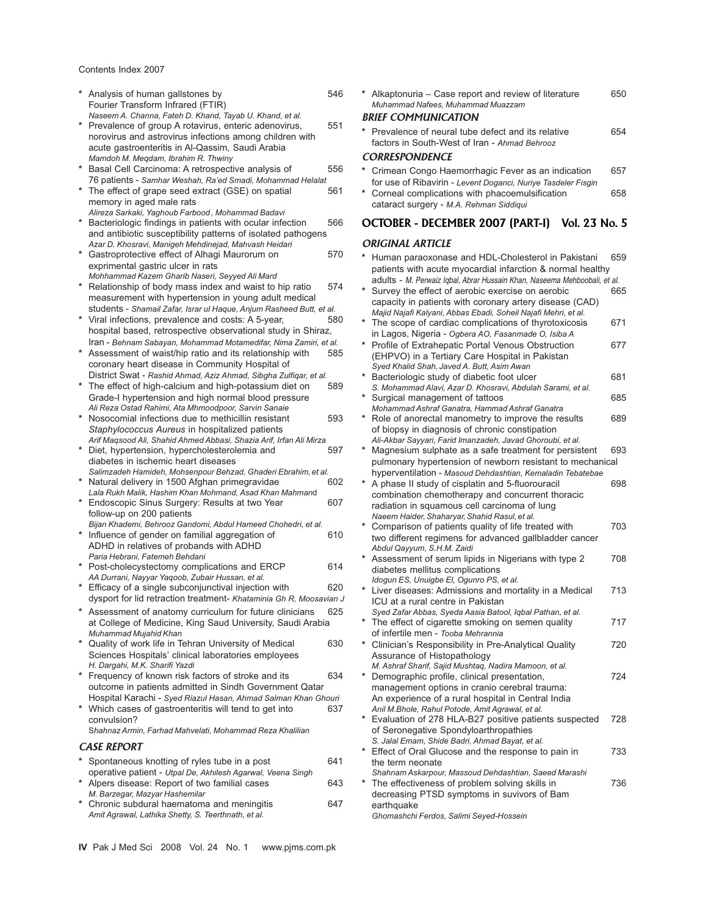Contents Index 2007

|         | Analysis of human gallstones by<br>Fourier Transform Infrared (FTIR)                                                                                                                                                            | 546             |
|---------|---------------------------------------------------------------------------------------------------------------------------------------------------------------------------------------------------------------------------------|-----------------|
|         | Naseem A. Channa, Fateh D. Khand, Tayab U. Khand, et al.<br>Prevalence of group A rotavirus, enteric adenovirus,<br>norovirus and astrovirus infections among children with<br>acute gastroenteritis in Al-Qassim, Saudi Arabia | ΒR<br>551<br>CC |
|         | Mamdoh M. Megdam, Ibrahim R. Thwiny<br>Basal Cell Carcinoma: A retrospective analysis of                                                                                                                                        | 556             |
|         | 76 patients - Samhar Weshah, Ra'ed Smadi, Mohammad Helalat<br>The effect of grape seed extract (GSE) on spatial<br>memory in aged male rats                                                                                     | 561             |
|         | Alireza Sarkaki, Yaghoub Farbood, Mohammad Badavi<br>Bacteriologic findings in patients with ocular infection<br>and antibiotic susceptibility patterns of isolated pathogens                                                   | 566<br>O        |
|         | Azar D. Khosravi, Manigeh Mehdinejad, Mahvash Heidari<br>* Gastroprotective effect of Alhagi Maurorum on<br>exprimental gastric ulcer in rats                                                                                   | O<br>570        |
| $\star$ | Mohhammad Kazem Gharib Naseri, Seyyed Ali Mard<br>Relationship of body mass index and waist to hip ratio                                                                                                                        | 574             |
|         | measurement with hypertension in young adult medical<br>students - Shamail Zafar, Israr ul Haque, Anjum Rasheed Butt, et al.<br>* Viral infections, prevalence and costs: A 5-year,                                             | 580             |
|         | hospital based, retrospective observational study in Shiraz,                                                                                                                                                                    |                 |
|         | Iran - Behnam Sabayan, Mohammad Motamedifar, Nima Zamiri, et al.<br>Assessment of waist/hip ratio and its relationship with<br>coronary heart disease in Community Hospital of                                                  | 585             |
|         | District Swat - Rashid Ahmad, Aziz Ahmad, Sibgha Zulfiqar, et al.                                                                                                                                                               |                 |
|         | The effect of high-calcium and high-potassium diet on<br>Grade-I hypertension and high normal blood pressure                                                                                                                    | 589             |
|         | Ali Reza Ostad Rahimi, Ata Mhmoodpoor, Sarvin Sanaie<br>* Nosocomial infections due to methicillin resistant                                                                                                                    | 593             |
|         | Staphylococcus Aureus in hospitalized patients<br>Arif Maqsood Ali, Shahid Ahmed Abbasi, Shazia Arif, Irfan Ali Mirza                                                                                                           |                 |
|         | * Diet, hypertension, hypercholesterolemia and<br>diabetes in ischemic heart diseases                                                                                                                                           | 597             |
|         | Salimzadeh Hamideh, Mohsenpour Behzad, Ghaderi Ebrahim, et al.<br>Natural delivery in 1500 Afghan primegravidae                                                                                                                 | 602             |
|         | Lala Rukh Malik, Hashim Khan Mohmand, Asad Khan Mahmand<br>* Endoscopic Sinus Surgery: Results at two Year                                                                                                                      | 607             |
|         | follow-up on 200 patients                                                                                                                                                                                                       |                 |
|         | Bijan Khademi, Behrooz Gandomi, Abdul Hameed Chohedri, et al.<br>* Influence of gender on familial aggregation of<br>ADHD in relatives of probands with ADHD                                                                    | 610             |
|         | Paria Hebrani, Fatemeh Behdani                                                                                                                                                                                                  |                 |
|         | Post-cholecystectomy complications and ERCP<br>AA Durrani, Nayyar Yaqoob, Zubair Hussan, et al.                                                                                                                                 | 614             |
|         | * Efficacy of a single subconjunctival injection with<br>dysport for lid retraction treatment- Khataminia Gh R, Moosavian J                                                                                                     | 620             |
|         | Assessment of anatomy curriculum for future clinicians                                                                                                                                                                          | 625             |
|         | at College of Medicine, King Saud University, Saudi Arabia<br>Muhammad Mujahid Khan                                                                                                                                             |                 |
| *       | Quality of work life in Tehran University of Medical<br>Sciences Hospitals' clinical laboratories employees                                                                                                                     | 630             |
|         | H. Dargahi, M.K. Sharifi Yazdi<br>* Frequency of known risk factors of stroke and its<br>outcome in patients admitted in Sindh Government Qatar                                                                                 | 634             |
|         | Hospital Karachi - Syed Riazul Hasan, Ahmad Salman Khan Ghouri<br>* Which cases of gastroenteritis will tend to get into<br>convulsion?                                                                                         | 637             |
|         | Shahnaz Armin, Farhad Mahvelati, Mohammad Reza Khalilian                                                                                                                                                                        |                 |
|         | <b>CASE REPORT</b>                                                                                                                                                                                                              |                 |
|         | Spontaneous knotting of ryles tube in a post                                                                                                                                                                                    | 641             |
|         | operative patient - Utpal De, Akhilesh Agarwal, Veena Singh<br>* Alpers disease: Report of two familial cases<br>M. Barzegar, Mazyar Hashemilar                                                                                 | 643             |
|         | * Chronic subdural haematoma and meningitis<br>Amit Agrawal, Lathika Shetty, S. Teerthnath, et al.                                                                                                                              | 647             |
|         |                                                                                                                                                                                                                                 |                 |

| <b>DDIFF COMANIMICATION</b>                           |     |
|-------------------------------------------------------|-----|
| Muhammad Nafees, Muhammad Muazzam                     |     |
| * Alkaptonuria – Case report and review of literature | 650 |

#### *BRIEF COMMUNICATION*

| * Prevalence of neural tube defect and its relative | 654 |
|-----------------------------------------------------|-----|
| factors in South-West of Iran - Ahmad Behrooz       |     |
| CORRESPONDENCE                                      |     |

#### *CORRESPONDENCE*

- **\*** Crimean Congo Haemorrhagic Fever as an indication 657 for use of Ribavirin - *Levent Doganci, Nuriye Tasdeler Fisgin*
- Corneal complications with phacoemulsification 658 cataract surgery - *M.A. Rehman Siddiqui*

# **OCTOBER - DECEMBER 2007 (PART-I) Vol. 23 No. 5**

### **RIGINAL ARTICLE**

| Human paraoxonase and HDL-Cholesterol in Pakistani<br>patients with acute myocardial infarction & normal healthy              | 659 |
|-------------------------------------------------------------------------------------------------------------------------------|-----|
| adults - M. Perwaiz Igbal, Abrar Hussain Khan, Naseema Mehboobali, et al.<br>Survey the effect of aerobic exercise on aerobic | 665 |
| capacity in patients with coronary artery disease (CAD)<br>Majid Najafi Kalyani, Abbas Ebadi, Soheil Najafi Mehri, et al.     |     |
| The scope of cardiac complications of thyrotoxicosis                                                                          | 671 |
| in Lagos, Nigeria - Ogbera AO, Fasanmade O, Isiba A<br>Profile of Extrahepatic Portal Venous Obstruction                      | 677 |
| (EHPVO) in a Tertiary Care Hospital in Pakistan                                                                               |     |
| Syed Khalid Shah, Javed A. Butt, Asim Awan                                                                                    |     |
| Bacteriologic study of diabetic foot ulcer                                                                                    | 681 |
| S. Mohammad Alavi, Azar D. Khosravi, Abdulah Sarami, et al.                                                                   |     |
| Surgical management of tattoos                                                                                                | 685 |
| Mohammad Ashraf Ganatra, Hammad Ashraf Ganatra                                                                                |     |
| Role of anorectal manometry to improve the results                                                                            | 689 |
| of biopsy in diagnosis of chronic constipation                                                                                |     |
| Ali-Akbar Sayyari, Farid Imanzadeh, Javad Ghoroubi, et al.                                                                    |     |
| Magnesium sulphate as a safe treatment for persistent                                                                         | 693 |
| pulmonary hypertension of newborn resistant to mechanical                                                                     |     |
| hyperventilation - Masoud Dehdashtian, Kemaladin Tebatebae                                                                    |     |
| A phase II study of cisplatin and 5-fluorouracil                                                                              | 698 |
| combination chemotherapy and concurrent thoracic                                                                              |     |
| radiation in squamous cell carcinoma of lung                                                                                  |     |
| Naeem Haider, Shaharyar, Shahid Rasul, et al.                                                                                 |     |
| Comparison of patients quality of life treated with                                                                           | 703 |
| two different regimens for advanced gallbladder cancer                                                                        |     |
| Abdul Qayyum, S.H.M. Zaidi                                                                                                    |     |
| Assessment of serum lipids in Nigerians with type 2                                                                           | 708 |
| diabetes mellitus complications                                                                                               |     |
| Idogun ES, Unuigbe El, Ogunro PS, et al.                                                                                      |     |
| Liver diseases: Admissions and mortality in a Medical                                                                         | 713 |
| ICU at a rural centre in Pakistan                                                                                             |     |
| Syed Zafar Abbas, Syeda Aasia Batool, Iqbal Pathan, et al.<br>The effect of cigarette smoking on semen quality                | 717 |
| of infertile men - Tooba Mehrannia                                                                                            |     |
| Clinician's Responsibility in Pre-Analytical Quality                                                                          | 720 |
| Assurance of Histopathology                                                                                                   |     |
| M. Ashraf Sharif, Sajid Mushtaq, Nadira Mamoon, et al.                                                                        |     |
| Demographic profile, clinical presentation,                                                                                   | 724 |
| management options in cranio cerebral trauma:                                                                                 |     |
| An experience of a rural hospital in Central India                                                                            |     |
| Anil M.Bhole, Rahul Potode, Amit Agrawal, et al.                                                                              |     |
| Evaluation of 278 HLA-B27 positive patients suspected                                                                         | 728 |
| of Seronegative Spondyloarthropathies                                                                                         |     |
| S. Jalal Emam, Shide Badri, Ahmad Bayat, et al.                                                                               |     |
| Effect of Oral Glucose and the response to pain in                                                                            | 733 |
| the term neonate                                                                                                              |     |
| Shahnam Askarpour, Massoud Dehdashtian, Saeed Marashi                                                                         |     |
| The effectiveness of problem solving skills in                                                                                | 736 |
| decreasing PTSD symptoms in suvivors of Bam                                                                                   |     |
| earthquake                                                                                                                    |     |
| Ghomashchi Ferdos, Salimi Seyed-Hossein                                                                                       |     |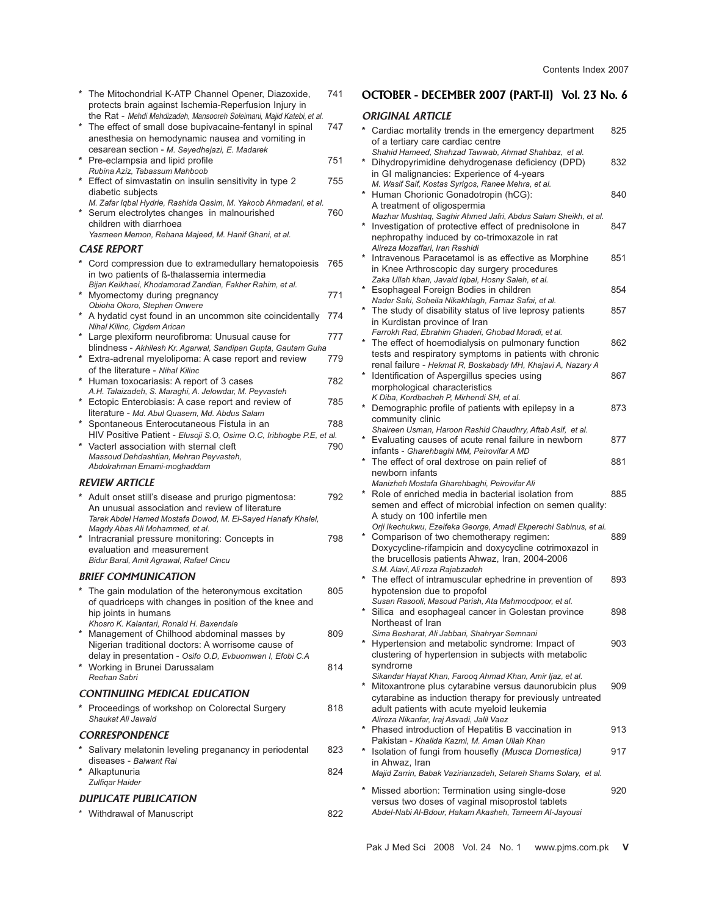| The Mitochondrial K-ATP Channel Opener, Diazoxide,<br>protects brain against Ischemia-Reperfusion Injury in                                                  | 741 | <b>OCTOBER</b>                                 |
|--------------------------------------------------------------------------------------------------------------------------------------------------------------|-----|------------------------------------------------|
| the Rat - Mehdi Mehdizadeh, Mansooreh Soleimani, Majid Katebi, et al.                                                                                        |     | ORIGINAL .                                     |
| The effect of small dose bupivacaine-fentanyl in spinal<br>anesthesia on hemodynamic nausea and vomiting in<br>cesarean section - M. Seyedhejazi, E. Madarek | 747 | Cardiac m<br>of a tertiar                      |
| * Pre-eclampsia and lipid profile                                                                                                                            | 751 | Shahid Ham<br>* Dihydropy                      |
| Rubina Aziz, Tabassum Mahboob<br>* Effect of simvastatin on insulin sensitivity in type 2                                                                    | 755 | in GI malic<br>M. Wasif Sa                     |
| diabetic subjects<br>M. Zafar Iqbal Hydrie, Rashida Qasim, M. Yakoob Ahmadani, et al.                                                                        |     | * Human Ch                                     |
| * Serum electrolytes changes in malnourished<br>children with diarrhoea                                                                                      | 760 | A treatmer<br><b>Mazhar Mus</b><br>Investigati |
| Yasmeen Memon, Rehana Majeed, M. Hanif Ghani, et al.<br><b>CASE REPORT</b>                                                                                   |     | nephropatl<br>Alireza Moz                      |
| Cord compression due to extramedullary hematopoiesis                                                                                                         | 765 | Intravenou                                     |
| in two patients of ß-thalassemia intermedia                                                                                                                  |     | in Knee Ar<br>Zaka Ullah I                     |
| Bijan Keikhaei, Khodamorad Zandian, Fakher Rahim, et al.<br>* Myomectomy during pregnancy                                                                    | 771 | Esophage                                       |
| Obioha Okoro, Stephen Onwere                                                                                                                                 |     | Nader Saki,<br>The study                       |
| * A hydatid cyst found in an uncommon site coincidentally<br>Nihal Kilinc, Cigdem Arican                                                                     | 774 | in Kurdista                                    |
| * Large plexiform neurofibroma: Unusual cause for                                                                                                            | 777 | Farrokh Rad<br>The effect                      |
| blindness - Akhilesh Kr. Agarwal, Sandipan Gupta, Gautam Guha<br>* Extra-adrenal myelolipoma: A case report and review                                       | 779 | tests and r                                    |
| of the literature - Nihal Kilinc                                                                                                                             |     | renal failur                                   |
| * Human toxocariasis: A report of 3 cases                                                                                                                    | 782 | Identificatio<br>morpholog                     |
| A.H. Talaizadeh, S. Maraghi, A. Jelowdar, M. Peyvasteh<br>* Ectopic Enterobiasis: A case report and review of                                                | 785 | K Diba, Kord                                   |
| literature - Md. Abul Quasem, Md. Abdus Salam                                                                                                                |     | * Demograp                                     |
| * Spontaneous Enterocutaneous Fistula in an                                                                                                                  | 788 | community<br>Shaireen Us                       |
| HIV Positive Patient - Elusoji S.O, Osime O.C, Iribhogbe P.E, et al.<br>* Vacterl association with sternal cleft                                             | 790 | * Evaluating                                   |
| Massoud Dehdashtian, Mehran Peyvasteh,                                                                                                                       |     | infants - Gi<br>* The effect                   |
| Abdolrahman Emami-moghaddam                                                                                                                                  |     | newborn ir                                     |
| <b>REVIEW ARTICLE</b>                                                                                                                                        |     | Manizheh M<br>Role of en                       |
| Adult onset still's disease and prurigo pigmentosa:<br>An unusual association and review of literature                                                       | 792 | semen and                                      |
| Tarek Abdel Hamed Mostafa Dowod, M. El-Sayed Hanafy Khalel,                                                                                                  |     | A study on                                     |
| Magdy Abas Ali Mohammed, et al.<br>*<br>Intracranial pressure monitoring: Concepts in                                                                        | 798 | Orji Ikechuk<br>* Compariso                    |
| evaluation and measurement                                                                                                                                   |     | Doxycyclin                                     |
| Bidur Baral, Amit Agrawal, Rafael Cincu                                                                                                                      |     | the brucell<br>S.M. Alavi. A                   |
| <b>BRIEF COMMUNICATION</b>                                                                                                                                   |     | The effect                                     |
| The gain modulation of the heteronymous excitation<br>of quadriceps with changes in position of the knee and                                                 | 805 | hypotensic<br>Susan Rasc                       |
| hip joints in humans                                                                                                                                         |     | $\star$<br>Silica and                          |
| Khosro K. Kalantari, Ronald H. Baxendale<br>* Management of Chilhood abdominal masses by                                                                     | 809 | Northeast<br>Sima Besha                        |
| Nigerian traditional doctors: A worrisome cause of                                                                                                           |     | <b>Hypertens</b>                               |
| delay in presentation - Osifo O.D, Evbuomwan I, Efobi C.A                                                                                                    |     | clustering                                     |
| * Working in Brunei Darussalam<br>Reehan Sabri                                                                                                               | 814 | syndrome<br>Sikandar Ha                        |
| CONTINUING MEDICAL EDUCATION                                                                                                                                 |     | * Mitoxantro                                   |
| * Proceedings of workshop on Colorectal Surgery                                                                                                              | 818 | cytarabine<br>adult patie                      |
| Shaukat Ali Jawaid                                                                                                                                           |     | Alireza Nika                                   |
| <b>CORRESPONDENCE</b>                                                                                                                                        |     | * Phased in<br>Pakistan -                      |
| * Salivary melatonin leveling preganancy in periodental                                                                                                      | 823 | * Isolation o                                  |
| diseases - Balwant Rai<br>* Alkaptunuria                                                                                                                     | 824 | in Ahwaz,<br>Majid Zarrin                      |
| Zulfigar Haider                                                                                                                                              |     |                                                |
| <b>DUPLICATE PUBLICATION</b>                                                                                                                                 |     | Missed ab<br>versus two                        |
| * Withdrawal of Manuscript                                                                                                                                   | 822 | Abdel-Nabi,                                    |

# - DECEMBER 2007 (PART-II) Vol. 23 No. 6

## **ARTICLE**

| *          | Cardiac mortality trends in the emergency department                                                                                                                                                                                                     | 825 |
|------------|----------------------------------------------------------------------------------------------------------------------------------------------------------------------------------------------------------------------------------------------------------|-----|
|            | of a tertiary care cardiac centre                                                                                                                                                                                                                        |     |
|            | Shahid Hameed, Shahzad Tawwab, Ahmad Shahbaz, et al.<br>Dihydropyrimidine dehydrogenase deficiency (DPD)<br>in GI malignancies: Experience of 4-years                                                                                                    | 832 |
| *          | M. Wasif Saif, Kostas Syrigos, Ranee Mehra, et al.<br>Human Chorionic Gonadotropin (hCG):                                                                                                                                                                | 840 |
| $\star$    | A treatment of oligospermia<br>Mazhar Mushtaq, Saghir Ahmed Jafri, Abdus Salam Sheikh, et al.<br>Investigation of protective effect of prednisolone in                                                                                                   | 847 |
| $\star$    | nephropathy induced by co-trimoxazole in rat<br>Alireza Mozaffari, Iran Rashidi<br>Intravenous Paracetamol is as effective as Morphine                                                                                                                   | 851 |
|            | in Knee Arthroscopic day surgery procedures<br>Zaka Ullah khan, Javaid Iqbal, Hosny Saleh, et al.                                                                                                                                                        |     |
| *          | Esophageal Foreign Bodies in children<br>Nader Saki, Soheila Nikakhlagh, Farnaz Safai, et al.                                                                                                                                                            | 854 |
|            | * The study of disability status of live leprosy patients<br>in Kurdistan province of Iran                                                                                                                                                               | 857 |
|            | Farrokh Rad, Ebrahim Ghaderi, Ghobad Moradi, et al.<br>The effect of hoemodialysis on pulmonary function<br>tests and respiratory symptoms in patients with chronic                                                                                      | 862 |
| *          | renal failure - Hekmat R, Boskabady MH, Khajavi A, Nazary A<br>Identification of Aspergillus species using<br>morphological characteristics                                                                                                              | 867 |
|            | K Diba, Kordbacheh P, Mirhendi SH, et al.<br>* Demographic profile of patients with epilepsy in a<br>community clinic                                                                                                                                    | 873 |
|            | Shaireen Usman, Haroon Rashid Chaudhry, Aftab Asif, et al.<br>Evaluating causes of acute renal failure in newborn<br>infants - Gharehbaghi MM, Peirovifar A MD                                                                                           | 877 |
| $^{\star}$ | The effect of oral dextrose on pain relief of<br>newborn infants                                                                                                                                                                                         | 881 |
|            | Manizheh Mostafa Gharehbaghi, Peirovifar Ali<br>Role of enriched media in bacterial isolation from<br>semen and effect of microbial infection on semen quality:                                                                                          | 885 |
|            | A study on 100 infertile men<br>Orji Ikechukwu, Ezeifeka George, Amadi Ekperechi Sabinus, et al.<br>Comparison of two chemotherapy regimen:<br>Doxycycline-rifampicin and doxycycline cotrimoxazol in<br>the brucellosis patients Ahwaz, Iran, 2004-2006 | 889 |
|            | S.M. Alavi, Ali reza Rajabzadeh<br>The effect of intramuscular ephedrine in prevention of<br>hypotension due to propofol                                                                                                                                 | 893 |
|            | Susan Rasooli, Masoud Parish, Ata Mahmoodpoor, et al.<br>* Silica and esophageal cancer in Golestan province<br>Northeast of Iran                                                                                                                        | 898 |
| *          | Sima Besharat, Ali Jabbari, Shahryar Semnani<br>Hypertension and metabolic syndrome: Impact of<br>clustering of hypertension in subjects with metabolic<br>svndrome                                                                                      | 903 |
|            | Sikandar Hayat Khan, Farooq Ahmad Khan, Amir Ijaz, et al.<br>* Mitoxantrone plus cytarabine versus daunorubicin plus<br>cytarabine as induction therapy for previously untreated                                                                         | 909 |
|            | adult patients with acute myeloid leukemia<br>Alireza Nikanfar, Iraj Asvadi, Jalil Vaez<br>* Phased introduction of Hepatitis B vaccination in                                                                                                           | 913 |
| $\star$    | Pakistan - Khalida Kazmi, M. Aman Ullah Khan<br>Isolation of fungi from housefly (Musca Domestica)                                                                                                                                                       | 917 |
|            | in Ahwaz, Iran<br>Majid Zarrin, Babak Vazirianzadeh, Setareh Shams Solary, et al.                                                                                                                                                                        |     |
|            | * Missed abortion: Termination using single-dose<br>versus two doses of vaginal misoprostol tablets<br>Abdel-Nabi Al-Bdour, Hakam Akasheh, Tameem Al-Jayousi                                                                                             | 920 |